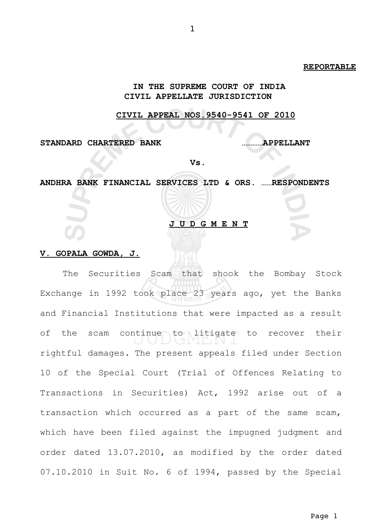### **REPORTABLE**

# **IN THE SUPREME COURT OF INDIA CIVIL APPELLATE JURISDICTION**

## **CIVIL APPEAL NOS.9540-9541 OF 2010**

**STANDARD CHARTERED BANK …………APPELLANT**

**Vs.**

**ANDHRA BANK FINANCIAL SERVICES LTD & ORS. ……RESPONDENTS**

# **J U D G M E N T**

### **V. GOPALA GOWDA, J.**

The Securities Scam that shook the Bombay Stock Exchange in 1992 took place 23 years ago, yet the Banks and Financial Institutions that were impacted as a result of the scam continue to litigate to recover their rightful damages. The present appeals filed under Section 10 of the Special Court (Trial of Offences Relating to Transactions in Securities) Act, 1992 arise out of a transaction which occurred as a part of the same scam, which have been filed against the impugned judgment and order dated 13.07.2010, as modified by the order dated 07.10.2010 in Suit No. 6 of 1994, passed by the Special

Page 1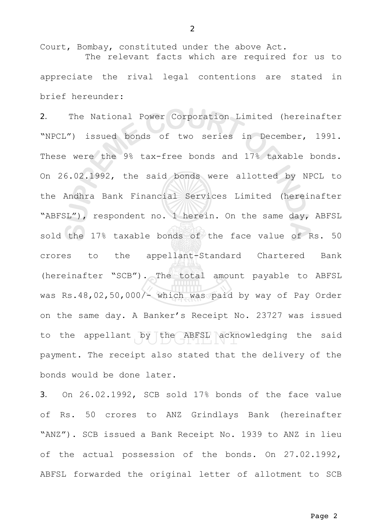Court, Bombay, constituted under the above Act. The relevant facts which are required for us to appreciate the rival legal contentions are stated in brief hereunder:

2. The National Power Corporation Limited (hereinafter "NPCL") issued bonds of two series in December, 1991. These were the 9% tax-free bonds and 17% taxable bonds. On 26.02.1992, the said bonds were allotted by NPCL to the Andhra Bank Financial Services Limited (hereinafter "ABFSL"), respondent no. 1 herein. On the same day, ABFSL sold the 17% taxable bonds of the face value of Rs. 50 crores to the appellant-Standard Chartered Bank (hereinafter "SCB"). The total amount payable to ABFSL was Rs.48,02,50,000/- which was paid by way of Pay Order on the same day. A Banker's Receipt No. 23727 was issued to the appellant by the ABFSL acknowledging the said payment. The receipt also stated that the delivery of the bonds would be done later.

3. On 26.02.1992, SCB sold 17% bonds of the face value of Rs. 50 crores to ANZ Grindlays Bank (hereinafter "ANZ"). SCB issued a Bank Receipt No. 1939 to ANZ in lieu of the actual possession of the bonds. On 27.02.1992, ABFSL forwarded the original letter of allotment to SCB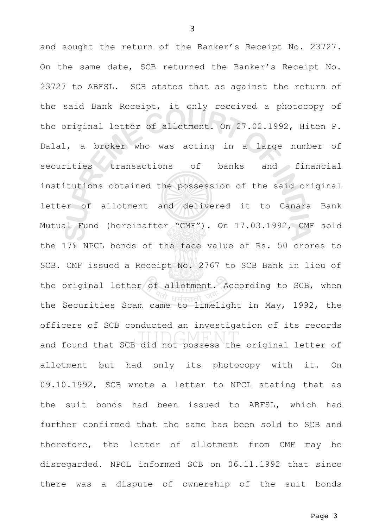and sought the return of the Banker's Receipt No. 23727. On the same date, SCB returned the Banker's Receipt No. 23727 to ABFSL. SCB states that as against the return of the said Bank Receipt, it only received a photocopy of the original letter of allotment. On 27.02.1992, Hiten P. Dalal, a broker who was acting in a large number of securities transactions of banks and financial institutions obtained the possession of the said original letter of allotment and delivered it to Canara Bank Mutual Fund (hereinafter "CMF"). On 17.03.1992, CMF sold the 17% NPCL bonds of the face value of Rs. 50 crores to SCB. CMF issued a Receipt No. 2767 to SCB Bank in lieu of the original letter of allotment. According to SCB, when the Securities Scam came to limelight in May, 1992, the officers of SCB conducted an investigation of its records and found that SCB did not possess the original letter of allotment but had only its photocopy with it. On 09.10.1992, SCB wrote a letter to NPCL stating that as the suit bonds had been issued to ABFSL, which had further confirmed that the same has been sold to SCB and therefore, the letter of allotment from CMF may be disregarded. NPCL informed SCB on 06.11.1992 that since there was a dispute of ownership of the suit bonds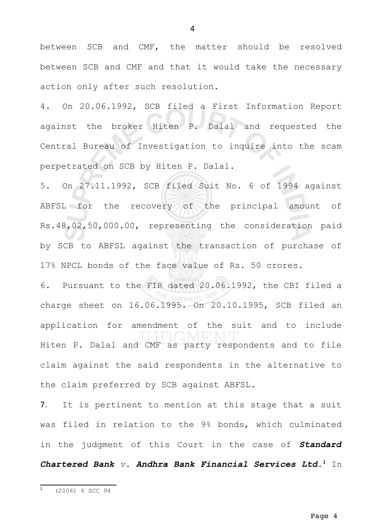between SCB and CMF, the matter should be resolved between SCB and CMF and that it would take the necessary action only after such resolution.

4. On 20.06.1992, SCB filed a First Information Report against the broker Hiten P. Dalal and requested the Central Bureau of Investigation to inquire into the scam perpetrated on SCB by Hiten P. Dalal.

5. On 27.11.1992, SCB filed Suit No. 6 of 1994 against ABFSL for the recovery of the principal amount of Rs.48,02,50,000.00, representing the consideration paid by SCB to ABFSL against the transaction of purchase of 17% NPCL bonds of the face value of Rs. 50 crores.

6. Pursuant to the FIR dated 20.06.1992, the CBI filed a charge sheet on 16.06.1995. On 20.10.1995, SCB filed an application for amendment of the suit and to include Hiten P. Dalal and CMF as party respondents and to file claim against the said respondents in the alternative to the claim preferred by SCB against ABFSL.

7. It is pertinent to mention at this stage that a suit was filed in relation to the 9% bonds, which culminated in the judgment of this Court in the case of *Standard Chartered Bank v. Andhra Bank Financial Services Ltd.[1](#page-3-0)* In

Page 4

<span id="page-3-0"></span> $1$  (2006) 6 SCC 94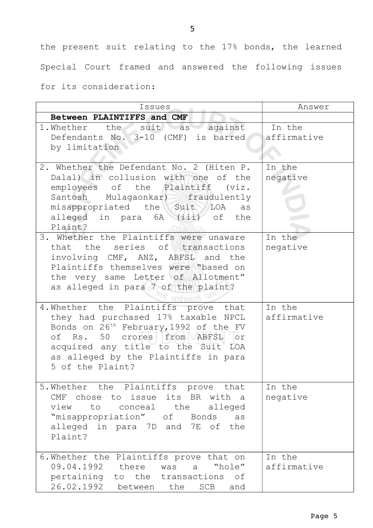the present suit relating to the 17% bonds, the learned Special Court framed and answered the following issues

for its consideration:

| Issues                                                                                                                                                                                                                                                                                                                                                                                                                                                                           | Answer                                   |
|----------------------------------------------------------------------------------------------------------------------------------------------------------------------------------------------------------------------------------------------------------------------------------------------------------------------------------------------------------------------------------------------------------------------------------------------------------------------------------|------------------------------------------|
| Between PLAINTIFFS and CMF                                                                                                                                                                                                                                                                                                                                                                                                                                                       |                                          |
| 1. Whether the suit as against<br>Defendants No. 3-10 (CMF) is barred<br>by limitation                                                                                                                                                                                                                                                                                                                                                                                           | In the<br>affirmative                    |
| 2. Whether the Defendant No. 2 (Hiten P.<br>Dalal) in collusion with one of the<br>employees of the Plaintiff (viz.<br>Santosh Mulagaonkar) fraudulently<br>misappropriated the Suit LOA as<br>alleged in para 6A (iii) of the<br>Plaint?<br>3. Whether the Plaintiffs were unaware<br>that the series of transactions<br>involving CMF, ANZ, ABFSL and the<br>Plaintiffs themselves were "based on<br>the very same Letter of Allotment"<br>as alleged in para 7 of the plaint? | In the<br>negative<br>In the<br>negative |
| 4. Whether the Plaintiffs prove that<br>they had purchased 17% taxable NPCL<br>Bonds on 26 <sup>th</sup> February, 1992 of the FV<br>of Rs. 50 crores from ABFSL or<br>acquired any title to the Suit LOA<br>as alleged by the Plaintiffs in para<br>5 of the Plaint?                                                                                                                                                                                                            | In the<br>affirmative                    |
| 5. Whether the Plaintiffs prove that<br>CMF chose to issue its BR with a<br>to conceal the<br>view<br>alleged<br>"misappropriation" of Bonds as<br>alleged in para 7D and 7E of the<br>Plaint?                                                                                                                                                                                                                                                                                   | In the<br>negative                       |
| 6. Whether the Plaintiffs prove that on<br>09.04.1992 there<br>"hole"<br>was<br>a<br>pertaining to the transactions of<br>26.02.1992 between the SCB and                                                                                                                                                                                                                                                                                                                         | In the<br>affirmative                    |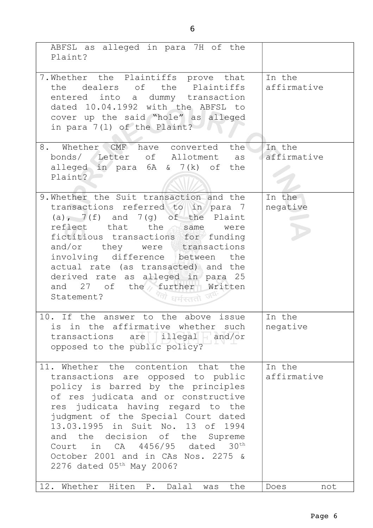| ABFSL as alleged in para 7H of the<br>Plaint?                                                                                                                                                                                                                                                                                                                                                                          |                       |
|------------------------------------------------------------------------------------------------------------------------------------------------------------------------------------------------------------------------------------------------------------------------------------------------------------------------------------------------------------------------------------------------------------------------|-----------------------|
| 7. Whether the Plaintiffs prove that<br>the dealers of the Plaintiffs<br>entered into a dummy transaction<br>dated 10.04.1992 with the ABFSL to<br>cover up the said "hole" as alleged<br>in para 7(1) of the Plaint?                                                                                                                                                                                                  | In the<br>affirmative |
| 8. Whether CMF have converted the<br>bonds/ Letter of Allotment as<br>alleged in para 6A & 7(k) of the<br>Plaint?                                                                                                                                                                                                                                                                                                      | In the<br>affirmative |
| 9. Whether the Suit transaction and the<br>transactions referred to in para 7<br>(a), $7(f)$ and $7(g)$ of the Plaint<br>reflect that the same were<br>fictitious transactions for funding<br>and/or they were transactions<br>involving difference between the<br>actual rate (as transacted) and the<br>derived rate as alleged in para 25<br>and 27 of the further Written<br>Statement?<br>ंधर्मस्ततो <sup>उ</sup> | In the<br>negative    |
| 10. If the answer to the above issue<br>is in the affirmative whether such<br>transactions are illegal and/or<br>opposed to the public policy?                                                                                                                                                                                                                                                                         | In the<br>negative    |
| 11. Whether the contention that the<br>transactions are opposed to public<br>policy is barred by the principles<br>of res judicata and or constructive<br>res judicata having regard to the<br>judgment of the Special Court dated<br>13.03.1995 in Suit No. 13 of 1994<br>and the decision of the Supreme<br>Court in CA 4456/95 dated 30th<br>October 2001 and in CAs Nos. 2275 &<br>2276 dated 05th May 2006?       | In the<br>affirmative |
| 12. Whether Hiten P. Dalal was<br>the                                                                                                                                                                                                                                                                                                                                                                                  | Does<br>not           |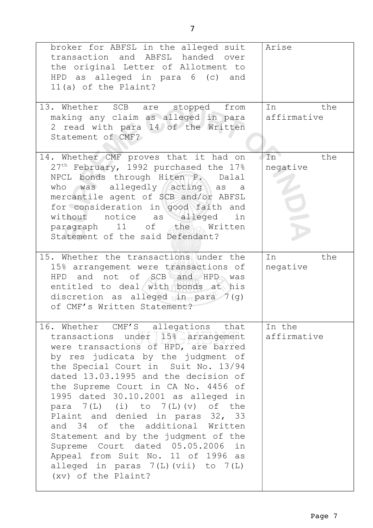| broker for ABFSL in the alleged suit<br>transaction and ABFSL handed over<br>the original Letter of Allotment to<br>HPD as alleged in para 6 (c) and<br>11(a) of the Plaint?                                                                                                                                                                                                                                                                                                                                                                                                                                              | Arise                              |
|---------------------------------------------------------------------------------------------------------------------------------------------------------------------------------------------------------------------------------------------------------------------------------------------------------------------------------------------------------------------------------------------------------------------------------------------------------------------------------------------------------------------------------------------------------------------------------------------------------------------------|------------------------------------|
| 13. Whether SCB are stopped from<br>making any claim as alleged in para<br>2 read with para 14 of the Written<br>Statement of CMF?                                                                                                                                                                                                                                                                                                                                                                                                                                                                                        | the<br>In<br>affirmative           |
| 14. Whether CMF proves that it had on<br>27 <sup>th</sup> February, 1992 purchased the 17%<br>NPCL bonds through Hiten P. Dalal<br>who was allegedly acting as a<br>mercantile agent of SCB and/or ABFSL<br>for consideration in good faith and<br>without notice as alleged in<br>paragraph 11 of the Written<br>Statement of the said Defendant?                                                                                                                                                                                                                                                                        | In <sup>o</sup><br>the<br>negative |
| 15. Whether the transactions under the<br>15% arrangement were transactions of<br>HPD and not of SCB and HPD was<br>entitled to deal with bonds at his<br>discretion as alleged in para $7(q)$<br>of CMF's Written Statement?                                                                                                                                                                                                                                                                                                                                                                                             | In<br>the<br>negative              |
| 16. Whether CMF'S allegations that<br>transactions under 15% arrangement<br>were transactions of HPD, are barred<br>by res judicata by the judgment of<br>the Special Court in Suit No. 13/94<br>dated 13.03.1995 and the decision of<br>the Supreme Court in CA No. 4456 of<br>1995 dated 30.10.2001 as alleged in<br>para $7(L)$ (i) to $7(L)$ (v) of the<br>Plaint and denied in paras 32, 33<br>and 34 of the additional Written<br>Statement and by the judgment of the<br>Supreme Court dated 05.05.2006 in<br>Appeal from Suit No. 11 of 1996 as<br>alleged in paras $7(L)$ (vii) to $7(L)$<br>(xv) of the Plaint? | In the<br>affirmative              |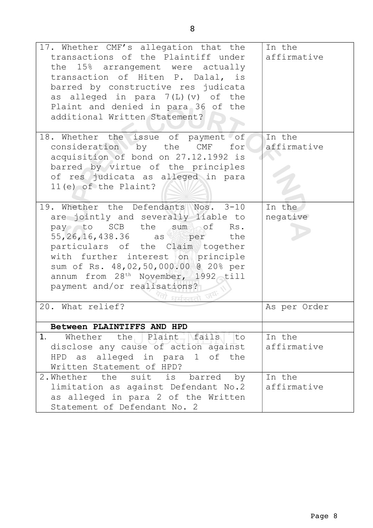| 17. Whether CMF's allegation that the<br>transactions of the Plaintiff under<br>the 15% arrangement were actually<br>transaction of Hiten P. Dalal, is<br>barred by constructive res judicata<br>as alleged in para $7(L)$ (v) of the<br>Plaint and denied in para 36 of the<br>additional Written Statement?                                                    | In the<br>affirmative |
|------------------------------------------------------------------------------------------------------------------------------------------------------------------------------------------------------------------------------------------------------------------------------------------------------------------------------------------------------------------|-----------------------|
| 18. Whether the issue of payment of<br>consideration by the CMF for<br>acquisition of bond on 27.12.1992 is<br>barred by virtue of the principles<br>of res judicata as alleged in para<br>$11(e)$ of the Plaint?                                                                                                                                                | In the<br>affirmative |
| 19. Whether the Defendants Nos. 3-10<br>are jointly and severally liable to<br>pay to SCB the sum of Rs.<br>55, 26, 16, 438.36 as per the<br>particulars of the Claim together<br>with further interest on principle<br>sum of Rs. 48,02,50,000.00 @ 20% per<br>annum from 28 <sup>th</sup> November, 1992 till<br>payment and/or realisations?<br>धर्मस्ततो जयः | In the<br>negative    |
| 20. What relief?                                                                                                                                                                                                                                                                                                                                                 | As per Order          |
| Between PLAINTIFFS AND HPD                                                                                                                                                                                                                                                                                                                                       |                       |
| 1.<br>Whether the Plaint fails to<br>disclose any cause of action against<br>HPD as alleged in para 1 of the<br>Written Statement of HPD?                                                                                                                                                                                                                        | In the<br>affirmative |
| 2. Whether the suit is barred by<br>limitation as against Defendant No.2<br>as alleged in para 2 of the Written<br>Statement of Defendant No. 2                                                                                                                                                                                                                  | In the<br>affirmative |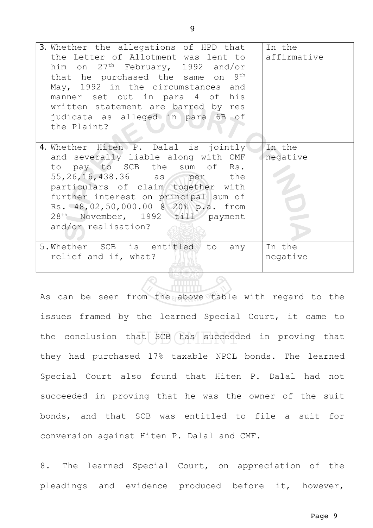| 3. Whether the allegations of HPD that<br>the Letter of Allotment was lent to<br>him on $27th$ February, 1992 and/or<br>that he purchased the same on 9th<br>May, 1992 in the circumstances and<br>manner set out in para 4 of his<br>written statement are barred by res<br>judicata as alleged in para 6B of<br>the Plaint?         | In the<br>affirmative |
|---------------------------------------------------------------------------------------------------------------------------------------------------------------------------------------------------------------------------------------------------------------------------------------------------------------------------------------|-----------------------|
| 4. Whether Hiten P. Dalal is jointly<br>and severally liable along with CMF<br>to pay to SCB the sum of Rs.<br>55,26,16,438.36 as per the<br>particulars of claim together with<br>further interest on principal sum of<br>Rs. 48,02,50,000.00 @ 20% p.a. from<br>28 <sup>th</sup> November, 1992 till payment<br>and/or realisation? | In the<br>negative    |
| 5. Whether SCB is entitled to any<br>relief and if, what?                                                                                                                                                                                                                                                                             | In the<br>negative    |

As can be seen from the above table with regard to the issues framed by the learned Special Court, it came to the conclusion that  $SCB$  has succeeded in proving that they had purchased 17% taxable NPCL bonds. The learned Special Court also found that Hiten P. Dalal had not succeeded in proving that he was the owner of the suit bonds, and that SCB was entitled to file a suit for conversion against Hiten P. Dalal and CMF.

8. The learned Special Court, on appreciation of the pleadings and evidence produced before it, however,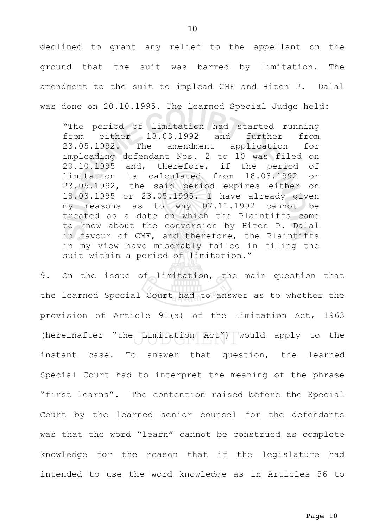declined to grant any relief to the appellant on the ground that the suit was barred by limitation. The amendment to the suit to implead CMF and Hiten P. Dalal was done on 20.10.1995. The learned Special Judge held:

"The period of limitation had started running from either 18.03.1992 and further from 23.05.1992. The amendment application for impleading defendant Nos. 2 to 10 was filed on 20.10.1995 and, therefore, if the period of limitation is calculated from 18.03.1992 or 23.05.1992, the said period expires either on 18.03.1995 or 23.05.1995. I have already given my reasons as to why 07.11.1992 cannot be treated as a date on which the Plaintiffs came to know about the conversion by Hiten P. Dalal in favour of CMF, and therefore, the Plaintiffs in my view have miserably failed in filing the suit within a period of limitation."

9. On the issue of limitation, the main question that the learned Special Court had to answer as to whether the provision of Article 91(a) of the Limitation Act, 1963 (hereinafter "the Limitation Act") would apply to the instant case. To answer that question, the learned Special Court had to interpret the meaning of the phrase "first learns". The contention raised before the Special Court by the learned senior counsel for the defendants was that the word "learn" cannot be construed as complete knowledge for the reason that if the legislature had intended to use the word knowledge as in Articles 56 to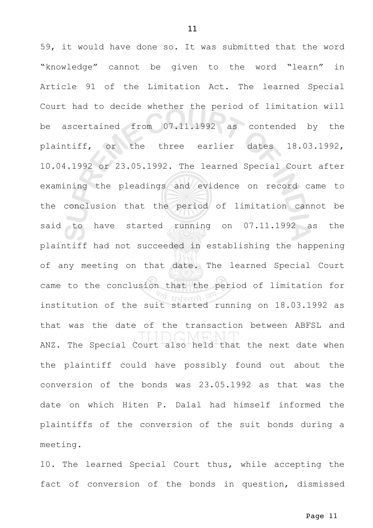59, it would have done so. It was submitted that the word "knowledge" cannot be given to the word "learn" in Article 91 of the Limitation Act. The learned Special Court had to decide whether the period of limitation will be ascertained from 07.11.1992 as contended by the plaintiff, or the three earlier dates 18.03.1992, 10.04.1992 or 23.05.1992. The learned Special Court after examining the pleadings and evidence on record came to the conclusion that the period of limitation cannot be said to have started running on 07.11.1992 as the plaintiff had not succeeded in establishing the happening of any meeting on that date. The learned Special Court came to the conclusion that the period of limitation for institution of the suit started running on 18.03.1992 as that was the date of the transaction between ABFSL and ANZ. The Special Court also held that the next date when the plaintiff could have possibly found out about the conversion of the bonds was 23.05.1992 as that was the date on which Hiten P. Dalal had himself informed the plaintiffs of the conversion of the suit bonds during a meeting.

10. The learned Special Court thus, while accepting the fact of conversion of the bonds in question, dismissed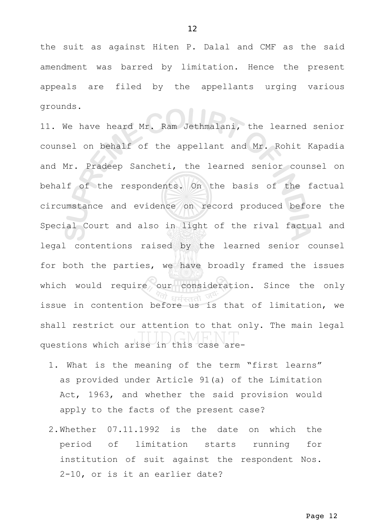the suit as against Hiten P. Dalal and CMF as the said amendment was barred by limitation. Hence the present appeals are filed by the appellants urging various grounds.

11. We have heard Mr. Ram Jethmalani, the learned senior counsel on behalf of the appellant and Mr. Rohit Kapadia and Mr. Pradeep Sancheti, the learned senior counsel on behalf of the respondents. On the basis of the factual circumstance and evidence on record produced before the Special Court and also in light of the rival factual and legal contentions raised by the learned senior counsel for both the parties, we have broadly framed the issues which would require our consideration. Since the only issue in contention before us is that of limitation, we shall restrict our attention to that only. The main legal questions which arise in this case are-

- 1. What is the meaning of the term "first learns" as provided under Article 91(a) of the Limitation Act, 1963, and whether the said provision would apply to the facts of the present case?
- 2.Whether 07.11.1992 is the date on which the period of limitation starts running for institution of suit against the respondent Nos. 2-10, or is it an earlier date?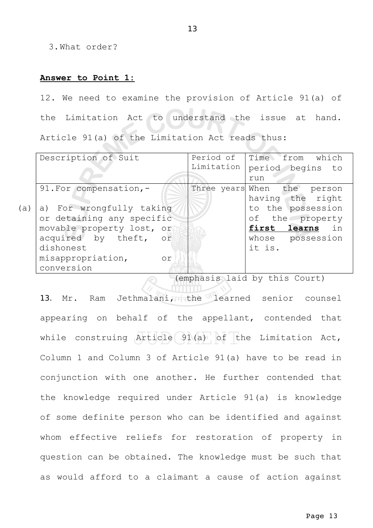3.What order?

### **Answer to Point 1:**

12. We need to examine the provision of Article 91(a) of the Limitation Act to understand the issue at hand. Article 91(a) of the Limitation Act reads thus:

|     | Description of Suit       |            | Period of Time from which   |
|-----|---------------------------|------------|-----------------------------|
|     |                           | Limitation | period begins to            |
|     |                           |            | run                         |
|     | 91. For compensation, -   |            | Three years When the person |
|     |                           |            | having the right            |
| (a) | a) For wrongfully taking  |            | to the possession           |
|     | or detaining any specific |            | of the property             |
|     | movable property lost, or |            | first learns in             |
|     | acquired by theft, or     |            | whose possession            |
|     | dishonest                 |            | it is.                      |
|     | misappropriation,<br>0r   |            |                             |
|     | conversion                |            |                             |

(emphasis laid by this Court)

13. Mr. Ram Jethmalani, the learned senior counsel appearing on behalf of the appellant, contended that while construing Article 91(a) of the Limitation Act, Column 1 and Column 3 of Article 91(a) have to be read in conjunction with one another. He further contended that the knowledge required under Article 91(a) is knowledge of some definite person who can be identified and against whom effective reliefs for restoration of property in question can be obtained. The knowledge must be such that as would afford to a claimant a cause of action against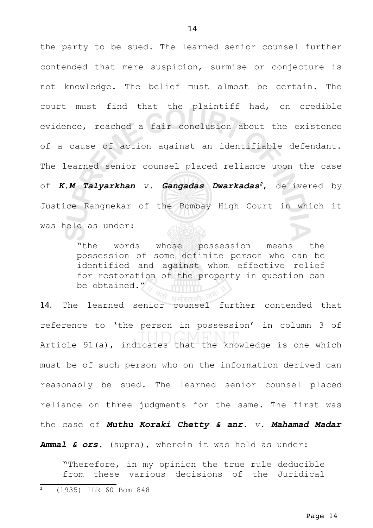the party to be sued. The learned senior counsel further contended that mere suspicion, surmise or conjecture is not knowledge. The belief must almost be certain. The court must find that the plaintiff had, on credible evidence, reached a fair conclusion about the existence of a cause of action against an identifiable defendant. The learned senior counsel placed reliance upon the case of *K.M Talyarkhan v. Gangadas Dwarkadas[2](#page-13-0)*, delivered by Justice Rangnekar of the Bombay High Court in which it was held as under:

> "the words whose possession means the possession of some definite person who can be identified and against whom effective relief for restoration of the property in question can be obtained."

14. The learned senior counsel further contended that reference to 'the person in possession' in column 3 of Article 91(a), indicates that the knowledge is one which must be of such person who on the information derived can reasonably be sued. The learned senior counsel placed reliance on three judgments for the same. The first was the case of *Muthu Koraki Chetty & anr. v. Mahamad Madar*

*Ammal & ors.* (supra), wherein it was held as under:

<span id="page-13-0"></span>"Therefore, in my opinion the true rule deducible from these various decisions of the Juridical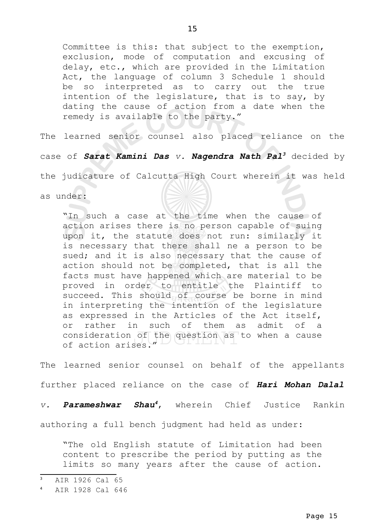Committee is this: that subject to the exemption, exclusion, mode of computation and excusing of delay, etc., which are provided in the Limitation Act, the language of column 3 Schedule 1 should be so interpreted as to carry out the true intention of the legislature, that is to say, by dating the cause of action from a date when the remedy is available to the party."

The learned senior counsel also placed reliance on the

case of *Sarat Kamini Das v. Nagendra Nath Pal[3](#page-14-0)* decided by

the judicature of Calcutta High Court wherein it was held

as under:

"In such a case at the time when the cause of action arises there is no person capable of suing upon it, the statute does not run: similarly it is necessary that there shall ne a person to be sued; and it is also necessary that the cause of action should not be completed, that is all the facts must have happened which are material to be proved in order to entitle the Plaintiff to succeed. This should of course be borne in mind in interpreting the intention of the legislature as expressed in the Articles of the Act itself, or rather in such of them as admit of a consideration of the question as to when a cause of action arises.

The learned senior counsel on behalf of the appellants further placed reliance on the case of *Hari Mohan Dalal*

*v. Parameshwar Shau[4](#page-14-1)*, wherein Chief Justice Rankin

authoring a full bench judgment had held as under:

"The old English statute of Limitation had been content to prescribe the period by putting as the limits so many years after the cause of action.

<span id="page-14-0"></span><sup>3</sup> AIR 1926 Cal 65

<span id="page-14-1"></span><sup>4</sup> AIR 1928 Cal 646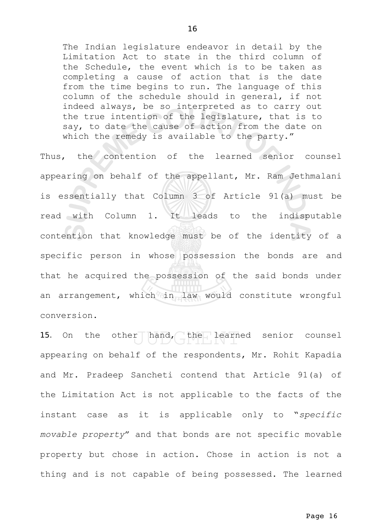The Indian legislature endeavor in detail by the Limitation Act to state in the third column of the Schedule, the event which is to be taken as completing a cause of action that is the date from the time begins to run. The language of this column of the schedule should in general, if not indeed always, be so interpreted as to carry out the true intention of the legislature, that is to say, to date the cause of action from the date on which the remedy is available to the party."

Thus, the contention of the learned senior counsel appearing on behalf of the appellant, Mr. Ram Jethmalani is essentially that Column 3 of Article 91(a) must be read with Column 1. It leads to the indisputable contention that knowledge must be of the identity of a specific person in whose possession the bonds are and that he acquired the possession of the said bonds under an arrangement, which in law would constitute wrongful conversion.

15. On the other hand, the learned senior counsel appearing on behalf of the respondents, Mr. Rohit Kapadia and Mr. Pradeep Sancheti contend that Article 91(a) of the Limitation Act is not applicable to the facts of the instant case as it is applicable only to "*specific movable property*" and that bonds are not specific movable property but chose in action. Chose in action is not a thing and is not capable of being possessed. The learned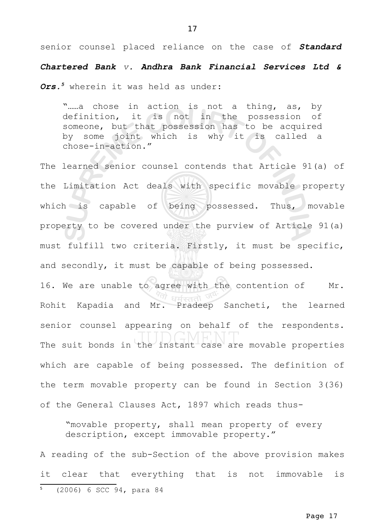senior counsel placed reliance on the case of *Standard*

*Chartered Bank v. Andhra Bank Financial Services Ltd &*

*Ors.[5](#page-16-0)* wherein it was held as under: "......a chose in action is not a thing, as, by definition, it is not in the possession of someone, but that possession has to be acquired by some joint which is why it is called a chose-in-action." The learned senior counsel contends that Article 91(a) of the Limitation Act deals with specific movable property which is capable of being possessed. Thus, movable property to be covered under the purview of Article 91(a) must fulfill two criteria. Firstly, it must be specific, and secondly, it must be capable of being possessed. 16. We are unable to agree with the contention of Mr. Rohit Kapadia and Mr. Pradeep Sancheti, the learned senior counsel appearing on behalf of the respondents. The suit bonds in the instant case are movable properties which are capable of being possessed. The definition of the term movable property can be found in Section 3(36) of the General Clauses Act, 1897 which reads thus-

"movable property, shall mean property of every description, except immovable property."

<span id="page-16-0"></span>A reading of the sub-Section of the above provision makes it clear that everything that is not immovable is <sup>5</sup> (2006) 6 SCC 94, para 84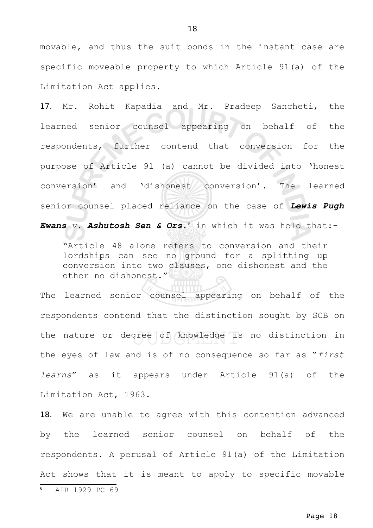movable, and thus the suit bonds in the instant case are specific moveable property to which Article 91(a) of the Limitation Act applies.

17. Mr. Rohit Kapadia and Mr. Pradeep Sancheti, the learned senior counsel appearing on behalf of the respondents, further contend that conversion for the purpose of Article 91 (a) cannot be divided into 'honest conversion' and 'dishonest conversion'. The learned senior counsel placed reliance on the case of *Lewis Pugh*

*Ewans v. Ashutosh Sen & Ors*. [6](#page-17-0) in which it was held that:-

"Article 48 alone refers to conversion and their lordships can see no ground for a splitting up conversion into two clauses, one dishonest and the other no dishonest."

The learned senior counsel appearing on behalf of the respondents contend that the distinction sought by SCB on the nature or degree of knowledge is no distinction in the eyes of law and is of no consequence so far as "*first learns*" as it appears under Article 91(a) of the Limitation Act, 1963.

<span id="page-17-0"></span>18. We are unable to agree with this contention advanced by the learned senior counsel on behalf of the respondents. A perusal of Article 91(a) of the Limitation Act shows that it is meant to apply to specific movable <sup>6</sup> AIR 1929 PC 69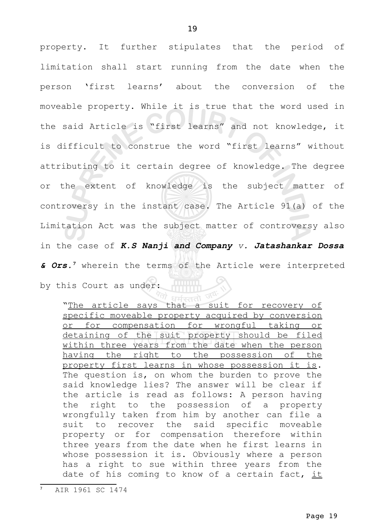property. It further stipulates that the period of limitation shall start running from the date when the person 'first learns' about the conversion of the moveable property. While it is true that the word used in the said Article is "first learns" and not knowledge, it is difficult to construe the word "first learns" without attributing to it certain degree of knowledge. The degree or the extent of knowledge is the subject matter of controversy in the instant case. The Article 91(a) of the Limitation Act was the subject matter of controversy also in the case of *K.S Nanji and Company v. Jatashankar Dossa & Ors.[7](#page-18-0)* wherein the terms of the Article were interpreted by this Court as under:

<sup>त्रो</sup> धर्मस्ततो "The article says that a suit for recovery of specific moveable property acquired by conversion or for compensation for wrongful taking or detaining of the suit property should be filed within three years from the date when the person having the right to the possession of the property first learns in whose possession it is. The question is, on whom the burden to prove the said knowledge lies? The answer will be clear if the article is read as follows: A person having the right to the possession of a property wrongfully taken from him by another can file a suit to recover the said specific moveable property or for compensation therefore within three years from the date when he first learns in whose possession it is. Obviously where a person has a right to sue within three years from the date of his coming to know of a certain fact,  $it$ 

<span id="page-18-0"></span><sup>7</sup> AIR 1961 SC 1474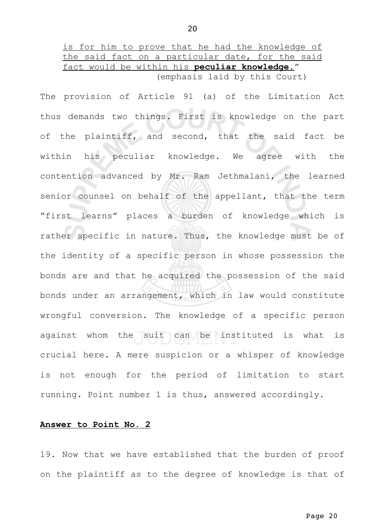is for him to prove that he had the knowledge of the said fact on a particular date, for the said fact would be within his **peculiar knowledge**." (emphasis laid by this Court)

The provision of Article 91 (a) of the Limitation Act thus demands two things. First is knowledge on the part of the plaintiff, and second, that the said fact be within his peculiar knowledge. We agree with the contention advanced by Mr. Ram Jethmalani, the learned senior counsel on behalf of the appellant, that the term "first learns" places a burden of knowledge which is rather specific in nature. Thus, the knowledge must be of the identity of a specific person in whose possession the bonds are and that he acquired the possession of the said bonds under an arrangement, which in law would constitute wrongful conversion. The knowledge of a specific person against whom the suit can be instituted is what is crucial here. A mere suspicion or a whisper of knowledge is not enough for the period of limitation to start running. Point number 1 is thus, answered accordingly.

### **Answer to Point No. 2**

19. Now that we have established that the burden of proof on the plaintiff as to the degree of knowledge is that of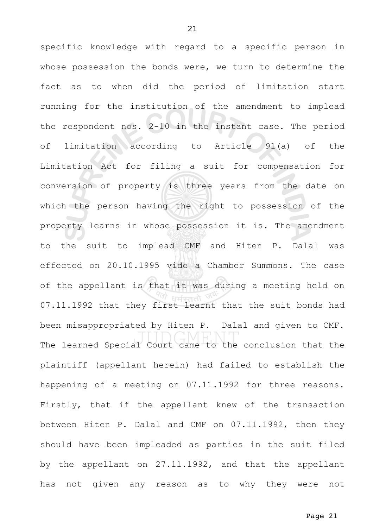specific knowledge with regard to a specific person in whose possession the bonds were, we turn to determine the fact as to when did the period of limitation start running for the institution of the amendment to implead the respondent nos. 2-10 in the instant case. The period of limitation according to Article 91(a) of the Limitation Act for filing a suit for compensation for conversion of property is three years from the date on which the person having the right to possession of the property learns in whose possession it is. The amendment to the suit to implead CMF and Hiten P. Dalal was effected on 20.10.1995 vide a Chamber Summons. The case of the appellant is that it was during a meeting held on 07.11.1992 that they first learnt that the suit bonds had been misappropriated by Hiten P. Dalal and given to CMF. The learned Special Court came to the conclusion that the plaintiff (appellant herein) had failed to establish the happening of a meeting on 07.11.1992 for three reasons. Firstly, that if the appellant knew of the transaction between Hiten P. Dalal and CMF on 07.11.1992, then they should have been impleaded as parties in the suit filed by the appellant on 27.11.1992, and that the appellant has not given any reason as to why they were not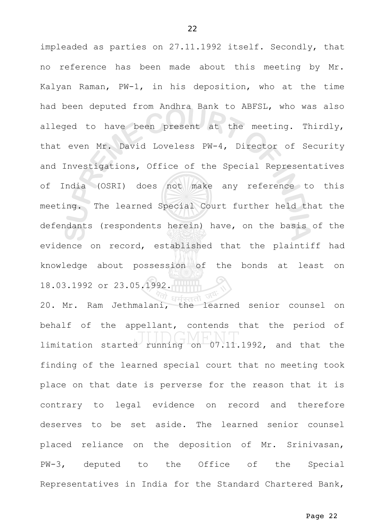impleaded as parties on 27.11.1992 itself. Secondly, that no reference has been made about this meeting by Mr. Kalyan Raman, PW-1, in his deposition, who at the time had been deputed from Andhra Bank to ABFSL, who was also alleged to have been present at the meeting. Thirdly, that even Mr. David Loveless PW-4, Director of Security and Investigations, Office of the Special Representatives of India (OSRI) does not make any reference to this meeting. The learned Special Court further held that the defendants (respondents herein) have, on the basis of the evidence on record, established that the plaintiff had knowledge about possession of the bonds at least on 18.03.1992 or 23.05.1992.

20. Mr. Ram Jethmalani, the learned senior counsel on behalf of the appellant, contends that the period of limitation started running on 07.11.1992, and that the finding of the learned special court that no meeting took place on that date is perverse for the reason that it is contrary to legal evidence on record and therefore deserves to be set aside. The learned senior counsel placed reliance on the deposition of Mr. Srinivasan, PW-3, deputed to the Office of the Special Representatives in India for the Standard Chartered Bank,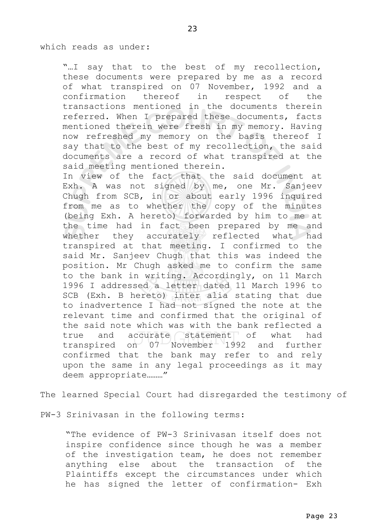### which reads as under:

"...I say that to the best of my recollection, these documents were prepared by me as a record of what transpired on 07 November, 1992 and a confirmation thereof in respect of the transactions mentioned in the documents therein referred. When I prepared these documents, facts mentioned therein were fresh in my memory. Having now refreshed my memory on the basis thereof I say that to the best of my recollection, the said documents are a record of what transpired at the said meeting mentioned therein.

In view of the fact that the said document at Exh. A was not signed by me, one Mr. Sanjeev Chugh from SCB, in or about early 1996 inquired from me as to whether the copy of the minutes (being Exh. A hereto) forwarded by him to me at the time had in fact been prepared by me and whether they accurately reflected what had transpired at that meeting. I confirmed to the said Mr. Sanjeev Chugh that this was indeed the position. Mr Chugh asked me to confirm the same to the bank in writing. Accordingly, on 11 March 1996 I addressed a letter dated 11 March 1996 to SCB (Exh. B hereto) inter alia stating that due to inadvertence I had not signed the note at the relevant time and confirmed that the original of the said note which was with the bank reflected a true and accurate statement of what had transpired on 07 November 1992 and further confirmed that the bank may refer to and rely upon the same in any legal proceedings as it may deem appropriate………"

The learned Special Court had disregarded the testimony of

PW-3 Srinivasan in the following terms:

"The evidence of PW-3 Srinivasan itself does not inspire confidence since though he was a member of the investigation team, he does not remember anything else about the transaction of the Plaintiffs except the circumstances under which he has signed the letter of confirmation- Exh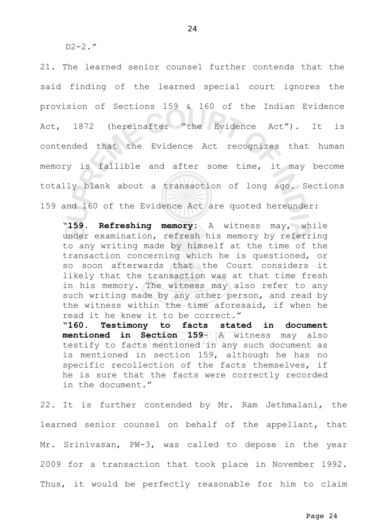$D2-2.$ "

21. The learned senior counsel further contends that the said finding of the learned special court ignores the provision of Sections 159 & 160 of the Indian Evidence Act, 1872 (hereinafter "the Evidence Act"). It is contended that the Evidence Act recognizes that human memory is fallible and after some time, it may become totally blank about a transaction of long ago. Sections 159 and 160 of the Evidence Act are quoted hereunder:

"**159. Refreshing memory:** A witness may, while under examination, refresh his memory by referring to any writing made by himself at the time of the transaction concerning which he is questioned, or so soon afterwards that the Court considers it likely that the transaction was at that time fresh in his memory. The witness may also refer to any such writing made by any other person, and read by the witness within the time aforesaid, if when he read it he knew it to be correct."

**"160. Testimony to facts stated in document mentioned in Section 159**- A witness may also testify to facts mentioned in any such document as is mentioned in section 159, although he has no specific recollection of the facts themselves, if he is sure that the facts were correctly recorded in the document."

22. It is further contended by Mr. Ram Jethmalani, the learned senior counsel on behalf of the appellant, that Mr. Srinivasan, PW-3, was called to depose in the year 2009 for a transaction that took place in November 1992. Thus, it would be perfectly reasonable for him to claim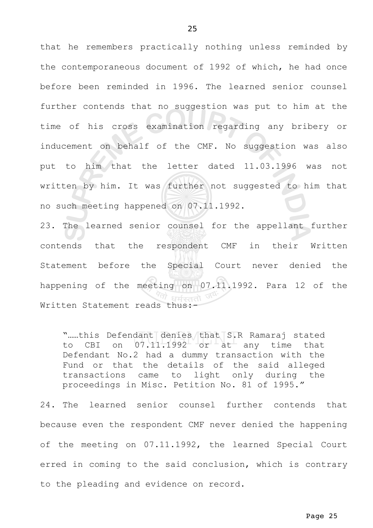that he remembers practically nothing unless reminded by the contemporaneous document of 1992 of which, he had once before been reminded in 1996. The learned senior counsel further contends that no suggestion was put to him at the time of his cross examination regarding any bribery or inducement on behalf of the CMF. No suggestion was also put to him that the letter dated 11.03.1996 was not written by him. It was further not suggested to him that

no such meeting happened on 07.11.1992.

23. The learned senior counsel for the appellant further contends that the respondent CMF in their Written Statement before the Special Court never denied the happening of the meeting on 07.11.1992. Para 12 of the Written Statement reads thus:-

".....this Defendant denies that S.R Ramaraj stated to CBI on  $07.11.1992$  or at any time that Defendant No.2 had a dummy transaction with the Fund or that the details of the said alleged transactions came to light only during the proceedings in Misc. Petition No. 81 of 1995."

24. The learned senior counsel further contends that because even the respondent CMF never denied the happening of the meeting on 07.11.1992, the learned Special Court erred in coming to the said conclusion, which is contrary to the pleading and evidence on record.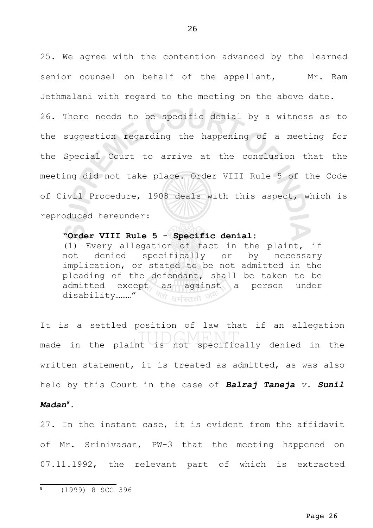25. We agree with the contention advanced by the learned senior counsel on behalf of the appellant, Mr. Ram Jethmalani with regard to the meeting on the above date.

26. There needs to be specific denial by a witness as to the suggestion regarding the happening of a meeting for the Special Court to arrive at the conclusion that the meeting did not take place. Order VIII Rule 5 of the Code of Civil Procedure, 1908 deals with this aspect, which is reproduced hereunder:

# **"Order VIII Rule 5 - Specific denial:**

(1) Every allegation of fact in the plaint, if not denied specifically or by necessary implication, or stated to be not admitted in the pleading of the defendant, shall be taken to be admitted except as against a person under disability………." Villarisad

It is a settled position of law that if an allegation made in the plaint is not specifically denied in the written statement, it is treated as admitted, as was also held by this Court in the case of *Balraj Taneja v. Sunil Madan[8](#page-25-0).*

<span id="page-25-0"></span>27. In the instant case, it is evident from the affidavit of Mr. Srinivasan, PW-3 that the meeting happened on 07.11.1992, the relevant part of which is extracted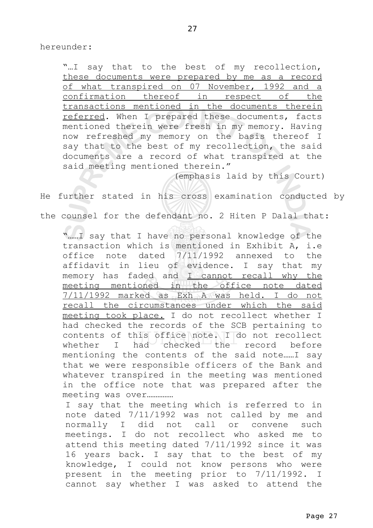hereunder:

"...I say that to the best of my recollection, these documents were prepared by me as a record of what transpired on 07 November, 1992 and a confirmation thereof in respect of the transactions mentioned in the documents therein referred. When I prepared these documents, facts mentioned therein were fresh in my memory. Having now refreshed my memory on the basis thereof I say that to the best of my recollection, the said documents are a record of what transpired at the said meeting mentioned therein."

(emphasis laid by this Court)

He further stated in his cross examination conducted by

the counsel for the defendant no. 2 Hiten P Dalal that:

"……I say that I have no personal knowledge of the transaction which is mentioned in Exhibit A, i.e office note dated 7/11/1992 annexed to the affidavit in lieu of evidence. I say that my memory has faded and  $I$  cannot recall why the meeting mentioned in the office note dated 7/11/1992 marked as Exh A was held. I do not recall the circumstances under which the said meeting took place. I do not recollect whether I had checked the records of the SCB pertaining to contents of this office note. I do not recollect whether I had checked the record before mentioning the contents of the said note……I say that we were responsible officers of the Bank and whatever transpired in the meeting was mentioned in the office note that was prepared after the meeting was over……………

I say that the meeting which is referred to in note dated 7/11/1992 was not called by me and normally I did not call or convene such meetings. I do not recollect who asked me to attend this meeting dated 7/11/1992 since it was 16 years back. I say that to the best of my knowledge, I could not know persons who were present in the meeting prior to 7/11/1992. I cannot say whether I was asked to attend the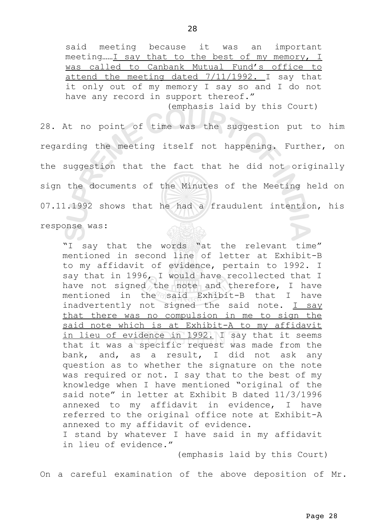(emphasis laid by this Court)

On a careful examination of the above deposition of Mr.

said meeting because it was an important meeting……I say that to the best of my memory, I was called to Canbank Mutual Fund's office to attend the meeting dated  $7/11/1992$ . I say that it only out of my memory I say so and I do not have any record in support thereof."

(emphasis laid by this Court)

28. At no point of time was the suggestion put to him regarding the meeting itself not happening. Further, on the suggestion that the fact that he did not originally sign the documents of the Minutes of the Meeting held on 07.11.1992 shows that he had a fraudulent intention, his

response was:

"I say that the words "at the relevant time" mentioned in second line of letter at Exhibit-B to my affidavit of evidence, pertain to 1992. I say that in 1996, I would have recollected that I have not signed the note and therefore, I have mentioned in the said Exhibit-B that I have inadvertently not signed the said note. I say that there was no compulsion in me to sign the said note which is at Exhibit-A to my affidavit in lieu of evidence in 1992. I say that it seems that it was a specific request was made from the bank, and, as a result, I did not ask any question as to whether the signature on the note was required or not. I say that to the best of my knowledge when I have mentioned "original of the said note" in letter at Exhibit B dated 11/3/1996 annexed to my affidavit in evidence, I have referred to the original office note at Exhibit-A annexed to my affidavit of evidence. I stand by whatever I have said in my affidavit in lieu of evidence."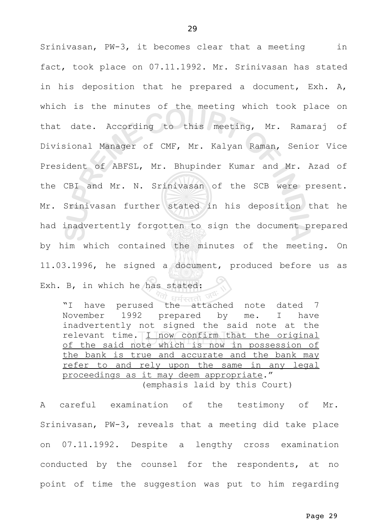Srinivasan, PW-3, it becomes clear that a meeting in fact, took place on 07.11.1992. Mr. Srinivasan has stated in his deposition that he prepared a document, Exh. A, which is the minutes of the meeting which took place on that date. According to this meeting, Mr. Ramaraj of Divisional Manager of CMF, Mr. Kalyan Raman, Senior Vice President of ABFSL, Mr. Bhupinder Kumar and Mr. Azad of the CBI and Mr. N. Srinivasan of the SCB were present. Mr. Srinivasan further stated in his deposition that he had inadvertently forgotten to sign the document prepared by him which contained the minutes of the meeting. On 11.03.1996, he signed a document, produced before us as Exh. B, in which he has stated:

"I have perused the attached note dated 7 November 1992 prepared by me. I have inadvertently not signed the said note at the relevant time. I now confirm that the original of the said note which is now in possession of the bank is true and accurate and the bank may refer to and rely upon the same in any legal proceedings as it may deem appropriate." (emphasis laid by this Court)

A careful examination of the testimony of Mr. Srinivasan, PW-3, reveals that a meeting did take place on 07.11.1992. Despite a lengthy cross examination conducted by the counsel for the respondents, at no point of time the suggestion was put to him regarding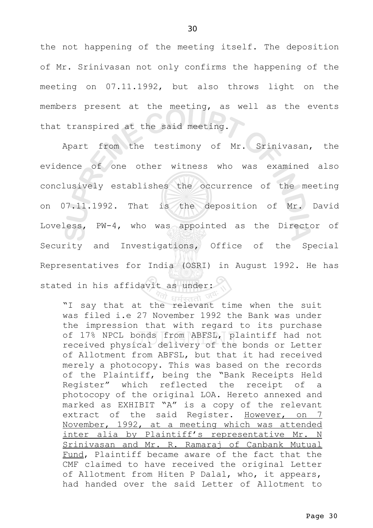the not happening of the meeting itself. The deposition of Mr. Srinivasan not only confirms the happening of the meeting on 07.11.1992, but also throws light on the members present at the meeting, as well as the events that transpired at the said meeting.

Apart from the testimony of Mr. Srinivasan, the evidence of one other witness who was examined also conclusively establishes the occurrence of the meeting on 07.11.1992. That is the deposition of Mr. David Loveless, PW-4, who was appointed as the Director of Security and Investigations, Office of the Special Representatives for India (OSRI) in August 1992. He has stated in his affidavit as under:

"I say that at the relevant time when the suit was filed i.e 27 November 1992 the Bank was under the impression that with regard to its purchase of 17% NPCL bonds from ABFSL, plaintiff had not received physical delivery of the bonds or Letter of Allotment from ABFSL, but that it had received merely a photocopy. This was based on the records of the Plaintiff, being the "Bank Receipts Held Register" which reflected the receipt of a photocopy of the original LOA. Hereto annexed and marked as EXHIBIT "A" is a copy of the relevant extract of the said Register. However, on 7 November, 1992, at a meeting which was attended inter alia by Plaintiff's representative Mr. N Srinivasan and Mr. R. Ramaraj of Canbank Mutual Fund, Plaintiff became aware of the fact that the CMF claimed to have received the original Letter of Allotment from Hiten P Dalal, who, it appears, had handed over the said Letter of Allotment to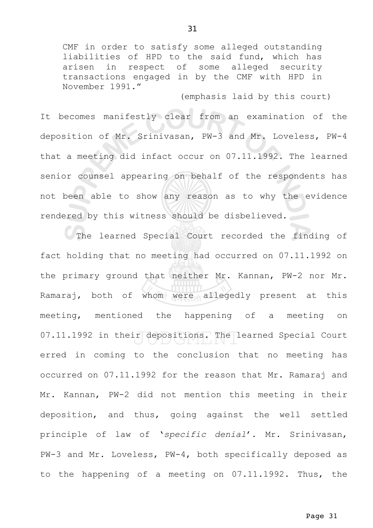CMF in order to satisfy some alleged outstanding liabilities of HPD to the said fund, which has arisen in respect of some alleged security transactions engaged in by the CMF with HPD in November 1991."

(emphasis laid by this court)

It becomes manifestly clear from an examination of the deposition of Mr. Srinivasan, PW-3 and Mr. Loveless, PW-4 that a meeting did infact occur on 07.11.1992. The learned senior counsel appearing on behalf of the respondents has not been able to show any reason as to why the evidence rendered by this witness should be disbelieved.

The learned Special Court recorded the finding of fact holding that no meeting had occurred on 07.11.1992 on the primary ground that neither Mr. Kannan, PW-2 nor Mr. Ramaraj, both of whom were allegedly present at this meeting, mentioned the happening of a meeting on 07.11.1992 in their depositions. The learned Special Court erred in coming to the conclusion that no meeting has occurred on 07.11.1992 for the reason that Mr. Ramaraj and Mr. Kannan, PW-2 did not mention this meeting in their deposition, and thus, going against the well settled principle of law of '*specific denial*'. Mr. Srinivasan, PW-3 and Mr. Loveless, PW-4, both specifically deposed as to the happening of a meeting on 07.11.1992. Thus, the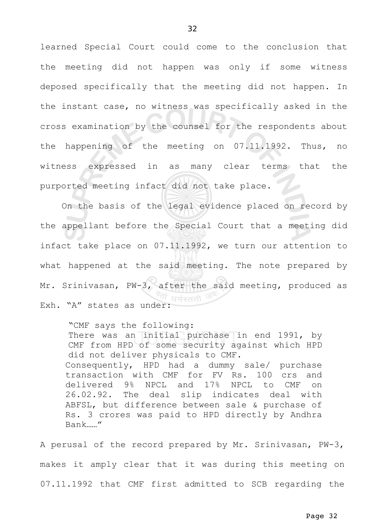learned Special Court could come to the conclusion that the meeting did not happen was only if some witness deposed specifically that the meeting did not happen. In the instant case, no witness was specifically asked in the cross examination by the counsel for the respondents about the happening of the meeting on 07.11.1992. Thus, no witness expressed in as many clear terms that the purported meeting infact did not take place.

 On the basis of the legal evidence placed on record by the appellant before the Special Court that a meeting did infact take place on 07.11.1992, we turn our attention to what happened at the said meeting. The note prepared by Mr. Srinivasan, PW-3, after the said meeting, produced as  $^{\prime\prime\prime}$  धर्मस्ततो Exh. "A" states as under:

"CMF says the following: There was an initial purchase in end 1991, by CMF from HPD of some security against which HPD did not deliver physicals to CMF. Consequently, HPD had a dummy sale/ purchase transaction with CMF for FV Rs. 100 crs and delivered 9% NPCL and 17% NPCL to CMF on 26.02.92. The deal slip indicates deal with ABFSL, but difference between sale & purchase of Rs. 3 crores was paid to HPD directly by Andhra Bank……"

A perusal of the record prepared by Mr. Srinivasan, PW-3, makes it amply clear that it was during this meeting on 07.11.1992 that CMF first admitted to SCB regarding the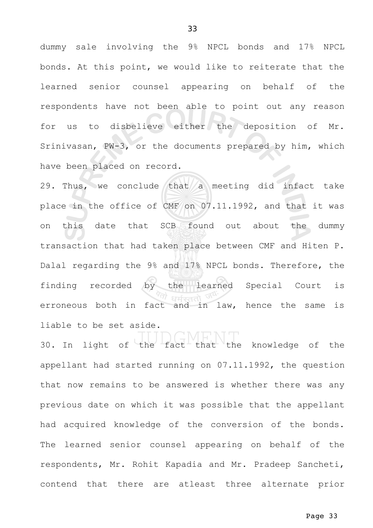dummy sale involving the 9% NPCL bonds and 17% NPCL bonds. At this point, we would like to reiterate that the learned senior counsel appearing on behalf of the respondents have not been able to point out any reason for us to disbelieve either the deposition of Mr. Srinivasan, PW-3, or the documents prepared by him, which have been placed on record.

29. Thus, we conclude that a meeting did infact take place in the office of CMF on 07.11.1992, and that it was on this date that SCB found out about the dummy transaction that had taken place between CMF and Hiten P. Dalal regarding the 9% and 17% NPCL bonds. Therefore, the finding recorded by the learned Special Court is erroneous both in fact and in law, hence the same is liable to be set aside.

30. In light of the fact that the knowledge of the appellant had started running on 07.11.1992, the question that now remains to be answered is whether there was any previous date on which it was possible that the appellant had acquired knowledge of the conversion of the bonds. The learned senior counsel appearing on behalf of the respondents, Mr. Rohit Kapadia and Mr. Pradeep Sancheti, contend that there are atleast three alternate prior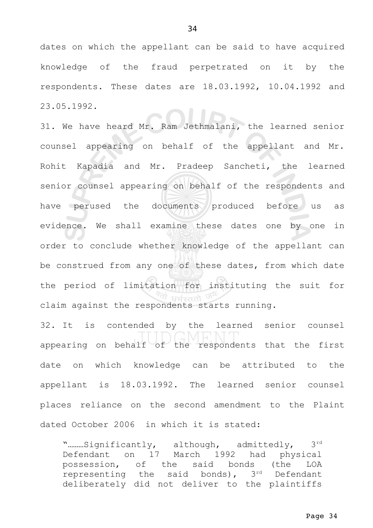dates on which the appellant can be said to have acquired knowledge of the fraud perpetrated on it by the respondents. These dates are 18.03.1992, 10.04.1992 and 23.05.1992.

31. We have heard Mr. Ram Jethmalani, the learned senior counsel appearing on behalf of the appellant and Mr. Rohit Kapadia and Mr. Pradeep Sancheti, the learned senior counsel appearing on behalf of the respondents and have perused the documents produced before us as evidence. We shall examine these dates one by one in order to conclude whether knowledge of the appellant can be construed from any one of these dates, from which date the period of limitation for instituting the suit for claim against the respondents starts running.

32. It is contended by the learned senior counsel appearing on behalf of the respondents that the first date on which knowledge can be attributed to the appellant is 18.03.1992. The learned senior counsel places reliance on the second amendment to the Plaint dated October 2006 in which it is stated:

"………Significantly, although, admittedly, 3rd Defendant on 17 March 1992 had physical possession, of the said bonds (the LOA representing the said bonds),  $3<sup>rd</sup>$  Defendant deliberately did not deliver to the plaintiffs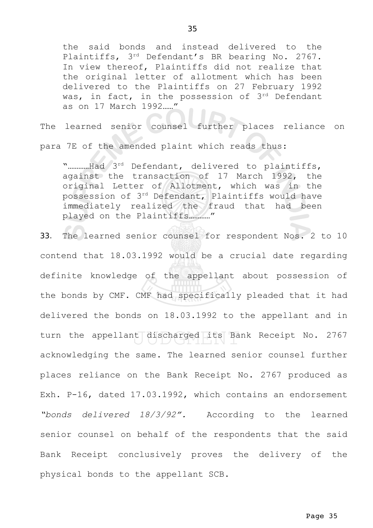the said bonds and instead delivered to the Plaintiffs, 3rd Defendant's BR bearing No. 2767. In view thereof, Plaintiffs did not realize that the original letter of allotment which has been delivered to the Plaintiffs on 27 February 1992 was, in fact, in the possession of 3rd Defendant as on 17 March 1992……"

The learned senior counsel further places reliance on

para 7E of the amended plaint which reads thus:

"...........Had 3rd Defendant, delivered to plaintiffs, against the transaction of 17 March 1992, the original Letter of Allotment, which was in the possession of 3rd Defendant, Plaintiffs would have immediately realized the fraud that had been played on the Plaintiffs…………"

33. The learned senior counsel for respondent Nos. 2 to 10 contend that 18.03.1992 would be a crucial date regarding definite knowledge of the appellant about possession of the bonds by CMF. CMF had specifically pleaded that it had delivered the bonds on 18.03.1992 to the appellant and in turn the appellant discharged its Bank Receipt No. 2767 acknowledging the same. The learned senior counsel further places reliance on the Bank Receipt No. 2767 produced as Exh. P-16, dated 17.03.1992, which contains an endorsement *"bonds delivered 18/3/92".* According to the learned senior counsel on behalf of the respondents that the said Bank Receipt conclusively proves the delivery of the physical bonds to the appellant SCB.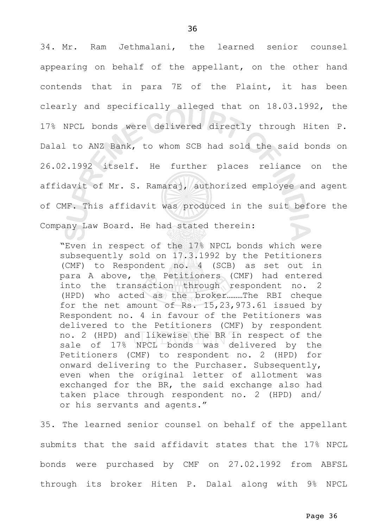34. Mr. Ram Jethmalani, the learned senior counsel appearing on behalf of the appellant, on the other hand contends that in para 7E of the Plaint, it has been clearly and specifically alleged that on 18.03.1992, the 17% NPCL bonds were delivered directly through Hiten P. Dalal to ANZ Bank, to whom SCB had sold the said bonds on 26.02.1992 itself. He further places reliance on the affidavit of Mr. S. Ramaraj, authorized employee and agent of CMF. This affidavit was produced in the suit before the Company Law Board. He had stated therein:

"Even in respect of the 17% NPCL bonds which were subsequently sold on 17.3.1992 by the Petitioners (CMF) to Respondent no. 4 (SCB) as set out in para A above, the Petitioners (CMF) had entered into the transaction through respondent no. 2 (HPD) who acted as the broker………The RBI cheque for the net amount of Rs. 15,23,973.61 issued by Respondent no. 4 in favour of the Petitioners was delivered to the Petitioners (CMF) by respondent no. 2 (HPD) and likewise the BR in respect of the sale of 17% NPCL bonds was delivered by the Petitioners (CMF) to respondent no. 2 (HPD) for onward delivering to the Purchaser. Subsequently, even when the original letter of allotment was exchanged for the BR, the said exchange also had taken place through respondent no. 2 (HPD) and/ or his servants and agents."

35. The learned senior counsel on behalf of the appellant submits that the said affidavit states that the 17% NPCL bonds were purchased by CMF on 27.02.1992 from ABFSL through its broker Hiten P. Dalal along with 9% NPCL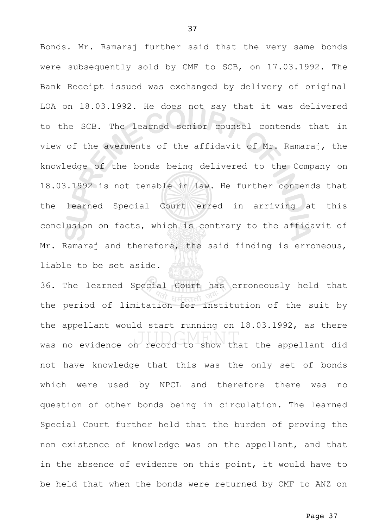Bonds. Mr. Ramaraj further said that the very same bonds were subsequently sold by CMF to SCB, on 17.03.1992. The Bank Receipt issued was exchanged by delivery of original LOA on 18.03.1992. He does not say that it was delivered to the SCB. The learned senior counsel contends that in view of the averments of the affidavit of Mr. Ramaraj, the knowledge of the bonds being delivered to the Company on 18.03.1992 is not tenable in law. He further contends that the learned Special Court erred in arriving at this conclusion on facts, which is contrary to the affidavit of Mr. Ramaraj and therefore, the said finding is erroneous, liable to be set aside.

36. The learned Special Court has erroneously held that the period of limitation for institution of the suit by the appellant would start running on 18.03.1992, as there was no evidence on record to show that the appellant did not have knowledge that this was the only set of bonds which were used by NPCL and therefore there was no question of other bonds being in circulation. The learned Special Court further held that the burden of proving the non existence of knowledge was on the appellant, and that in the absence of evidence on this point, it would have to be held that when the bonds were returned by CMF to ANZ on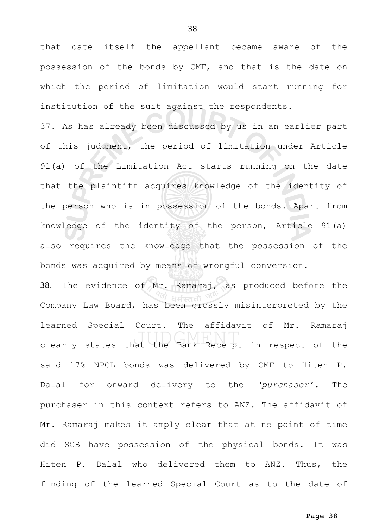that date itself the appellant became aware of the possession of the bonds by CMF, and that is the date on which the period of limitation would start running for institution of the suit against the respondents.

37. As has already been discussed by us in an earlier part of this judgment, the period of limitation under Article 91(a) of the Limitation Act starts running on the date that the plaintiff acquires knowledge of the identity of the person who is in possession of the bonds. Apart from knowledge of the identity of the person, Article 91(a) also requires the knowledge that the possession of the bonds was acquired by means of wrongful conversion.

38. The evidence of Mr. Ramaraj, as produced before the Company Law Board, has been grossly misinterpreted by the learned Special Court. The affidavit of Mr. Ramaraj clearly states that the Bank Receipt in respect of the said 17% NPCL bonds was delivered by CMF to Hiten P. Dalal for onward delivery to the *'purchaser'*. The purchaser in this context refers to ANZ. The affidavit of Mr. Ramaraj makes it amply clear that at no point of time did SCB have possession of the physical bonds. It was Hiten P. Dalal who delivered them to ANZ. Thus, the finding of the learned Special Court as to the date of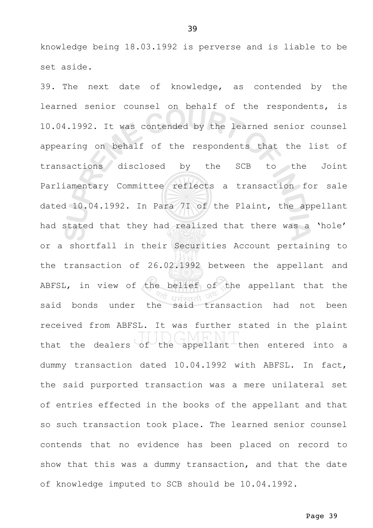knowledge being 18.03.1992 is perverse and is liable to be set aside.

39. The next date of knowledge, as contended by the learned senior counsel on behalf of the respondents, is 10.04.1992. It was contended by the learned senior counsel appearing on behalf of the respondents that the list of transactions disclosed by the SCB to the Joint Parliamentary Committee reflects a transaction for sale dated 10.04.1992. In Para 7I of the Plaint, the appellant had stated that they had realized that there was a 'hole' or a shortfall in their Securities Account pertaining to the transaction of 26.02.1992 between the appellant and ABFSL, in view of the belief of the appellant that the said bonds under the said transaction had not been received from ABFSL. It was further stated in the plaint that the dealers of the appellant then entered into a dummy transaction dated 10.04.1992 with ABFSL. In fact, the said purported transaction was a mere unilateral set of entries effected in the books of the appellant and that so such transaction took place. The learned senior counsel contends that no evidence has been placed on record to show that this was a dummy transaction, and that the date of knowledge imputed to SCB should be 10.04.1992.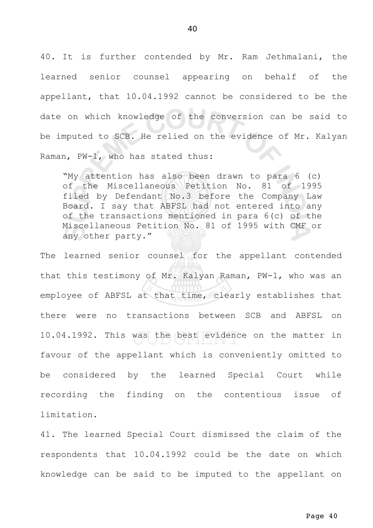40. It is further contended by Mr. Ram Jethmalani, the learned senior counsel appearing on behalf of the appellant, that 10.04.1992 cannot be considered to be the date on which knowledge of the conversion can be said to be imputed to SCB. He relied on the evidence of Mr. Kalyan Raman, PW-1, who has stated thus:

"My attention has also been drawn to para 6 (c) of the Miscellaneous Petition No. 81 of 1995 filed by Defendant No.3 before the Company Law Board. I say that ABFSL had not entered into any of the transactions mentioned in para 6(c) of the Miscellaneous Petition No. 81 of 1995 with CMF or any other party."

The learned senior counsel for the appellant contended that this testimony of Mr. Kalyan Raman, PW-1, who was an employee of ABFSL at that time, clearly establishes that there were no transactions between SCB and ABFSL on 10.04.1992. This was the best evidence on the matter in favour of the appellant which is conveniently omitted to be considered by the learned Special Court while recording the finding on the contentious issue of limitation.

41. The learned Special Court dismissed the claim of the respondents that 10.04.1992 could be the date on which knowledge can be said to be imputed to the appellant on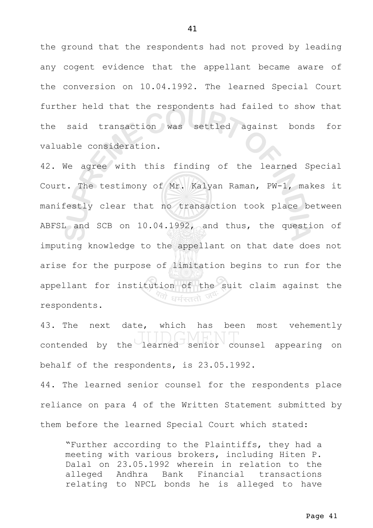the ground that the respondents had not proved by leading any cogent evidence that the appellant became aware of the conversion on 10.04.1992. The learned Special Court further held that the respondents had failed to show that the said transaction was settled against bonds for valuable consideration.

42. We agree with this finding of the learned Special Court. The testimony of Mr. Kalyan Raman, PW-1, makes it manifestly clear that no transaction took place between ABFSL and SCB on 10.04.1992, and thus, the question of imputing knowledge to the appellant on that date does not arise for the purpose of limitation begins to run for the appellant for institution of the suit claim against the '<sup>लो</sup> धर्मस्ततो <sup>उ</sup> respondents.

43. The next date, which has been most vehemently contended by the learned senior counsel appearing on behalf of the respondents, is 23.05.1992.

44. The learned senior counsel for the respondents place reliance on para 4 of the Written Statement submitted by them before the learned Special Court which stated:

"Further according to the Plaintiffs, they had a meeting with various brokers, including Hiten P. Dalal on 23.05.1992 wherein in relation to the alleged Andhra Bank Financial transactions relating to NPCL bonds he is alleged to have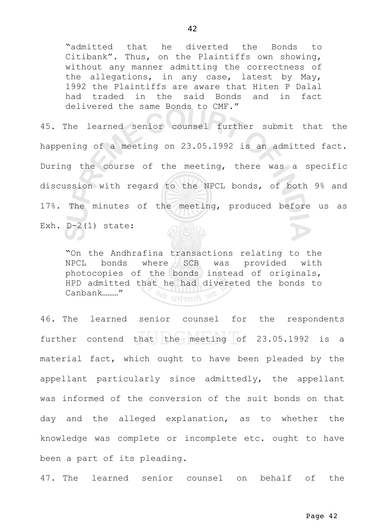"admitted that he diverted the Bonds to Citibank". Thus, on the Plaintiffs own showing, without any manner admitting the correctness of the allegations, in any case, latest by May, 1992 the Plaintiffs are aware that Hiten P Dalal had traded in the said Bonds and in fact delivered the same Bonds to CMF."

45. The learned senior counsel further submit that the happening of a meeting on 23.05.1992 is an admitted fact. During the course of the meeting, there was a specific discussion with regard to the NPCL bonds, of both 9% and 17%. The minutes of the meeting, produced before us as Exh.  $D-2(1)$  state:

"On the Andhrafina transactions relating to the NPCL bonds where SCB was provided with photocopies of the bonds instead of originals, HPD admitted that he had divereted the bonds to Canbank………"  $\sqrt[4]{7}$ धर्मरततो ज

46. The learned senior counsel for the respondents further contend that the meeting of 23.05.1992 is a material fact, which ought to have been pleaded by the appellant particularly since admittedly, the appellant was informed of the conversion of the suit bonds on that day and the alleged explanation, as to whether the knowledge was complete or incomplete etc. ought to have been a part of its pleading.

47. The learned senior counsel on behalf of the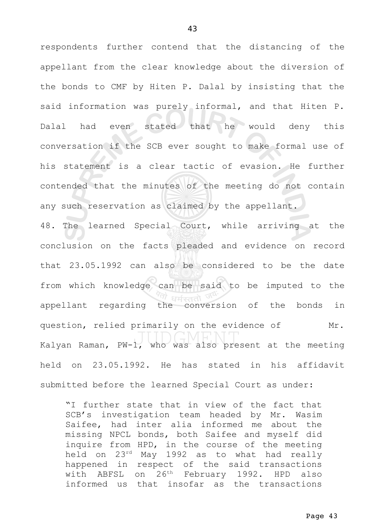respondents further contend that the distancing of the appellant from the clear knowledge about the diversion of the bonds to CMF by Hiten P. Dalal by insisting that the said information was purely informal, and that Hiten P. Dalal had even stated that he would deny this conversation if the SCB ever sought to make formal use of his statement is a clear tactic of evasion. He further contended that the minutes of the meeting do not contain any such reservation as claimed by the appellant. 48. The learned Special Court, while arriving at the conclusion on the facts pleaded and evidence on record that 23.05.1992 can also be considered to be the date from which knowledge can be said to be imputed to the धर्मस्ततो appellant regarding the conversion of the bonds in question, relied primarily on the evidence of Mr. Kalyan Raman, PW-1, who was also present at the meeting held on 23.05.1992. He has stated in his affidavit

submitted before the learned Special Court as under:

"I further state that in view of the fact that SCB's investigation team headed by Mr. Wasim Saifee, had inter alia informed me about the missing NPCL bonds, both Saifee and myself did inquire from HPD, in the course of the meeting held on 23rd May 1992 as to what had really happened in respect of the said transactions with ABFSL on 26<sup>th</sup> February 1992. HPD also informed us that insofar as the transactions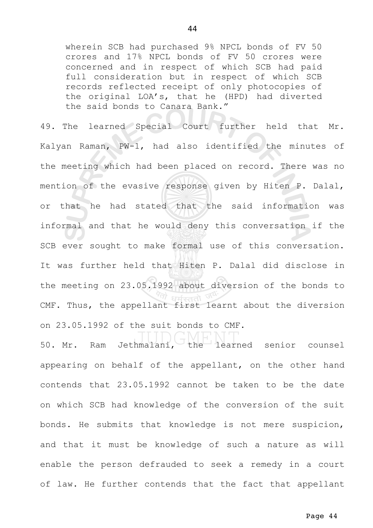wherein SCB had purchased 9% NPCL bonds of FV 50 crores and 17% NPCL bonds of FV 50 crores were concerned and in respect of which SCB had paid full consideration but in respect of which SCB records reflected receipt of only photocopies of the original LOA's, that he (HPD) had diverted the said bonds to Canara Bank."

49. The learned Special Court further held that Mr. Kalyan Raman, PW-1, had also identified the minutes of the meeting which had been placed on record. There was no mention of the evasive response given by Hiten P. Dalal, or that he had stated that the said information was informal and that he would deny this conversation if the SCB ever sought to make formal use of this conversation. It was further held that Hiten P. Dalal did disclose in the meeting on 23.05.1992 about diversion of the bonds to CMF. Thus, the appellant first learnt about the diversion on 23.05.1992 of the suit bonds to CMF.

50. Mr. Ram Jethmalani, the learned senior counsel appearing on behalf of the appellant, on the other hand contends that 23.05.1992 cannot be taken to be the date on which SCB had knowledge of the conversion of the suit bonds. He submits that knowledge is not mere suspicion, and that it must be knowledge of such a nature as will enable the person defrauded to seek a remedy in a court of law. He further contends that the fact that appellant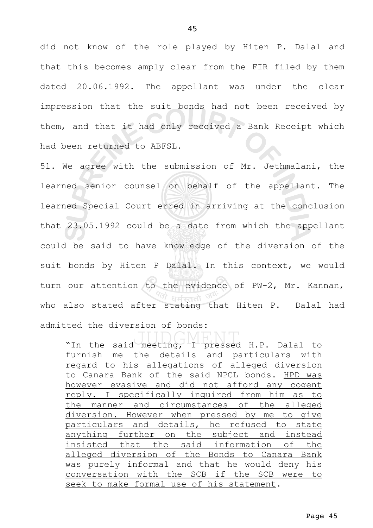did not know of the role played by Hiten P. Dalal and that this becomes amply clear from the FIR filed by them dated 20.06.1992. The appellant was under the clear impression that the suit bonds had not been received by them, and that it had only received a Bank Receipt which had been returned to ABFSL.

51. We agree with the submission of Mr. Jethmalani, the learned senior counsel on behalf of the appellant. The learned Special Court erred in arriving at the conclusion that 23.05.1992 could be a date from which the appellant could be said to have knowledge of the diversion of the suit bonds by Hiten P Dalal. In this context, we would turn our attention to the evidence of PW-2, Mr. Kannan, who also stated after stating that Hiten P. Dalal had admitted the diversion of bonds:

"In the said meeting, I pressed H.P. Dalal to furnish me the details and particulars with regard to his allegations of alleged diversion to Canara Bank of the said NPCL bonds. HPD was however evasive and did not afford any cogent reply. I specifically inquired from him as to the manner and circumstances of the alleged diversion. However when pressed by me to give particulars and details, he refused to state anything further on the subject and instead insisted that the said information of the alleged diversion of the Bonds to Canara Bank was purely informal and that he would deny his conversation with the SCB if the SCB were to seek to make formal use of his statement.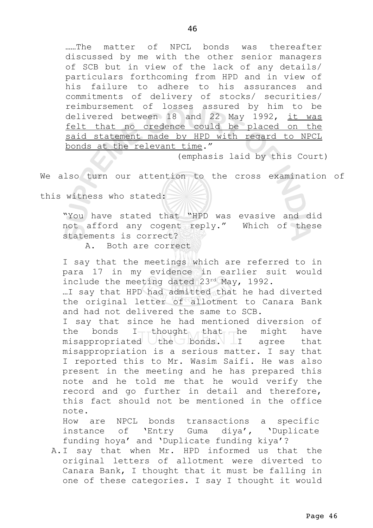……The matter of NPCL bonds was thereafter discussed by me with the other senior managers of SCB but in view of the lack of any details/ particulars forthcoming from HPD and in view of his failure to adhere to his assurances and commitments of delivery of stocks/ securities/ reimbursement of losses assured by him to be delivered between 18 and 22 May 1992, it was felt that no credence could be placed on the said statement made by HPD with regard to NPCL bonds at the relevant time."

(emphasis laid by this Court)

We also turn our attention to the cross examination of

this witness who stated:

"You have stated that "HPD was evasive and did not afford any cogent reply." Which of these statements is correct?

A. Both are correct

I say that the meetings which are referred to in para 17 in my evidence in earlier suit would include the meeting dated 23rd May, 1992.

…I say that HPD had admitted that he had diverted the original letter of allotment to Canara Bank and had not delivered the same to SCB.

I say that since he had mentioned diversion of the bonds  $I_{T}$ thought that he might have misappropriated the bonds. I agree that misappropriation is a serious matter. I say that I reported this to Mr. Wasim Saifi. He was also present in the meeting and he has prepared this note and he told me that he would verify the record and go further in detail and therefore, this fact should not be mentioned in the office note.

How are NPCL bonds transactions a specific instance of 'Entry Guma diya', 'Duplicate funding hoya' and 'Duplicate funding kiya'?

A.I say that when Mr. HPD informed us that the original letters of allotment were diverted to Canara Bank, I thought that it must be falling in one of these categories. I say I thought it would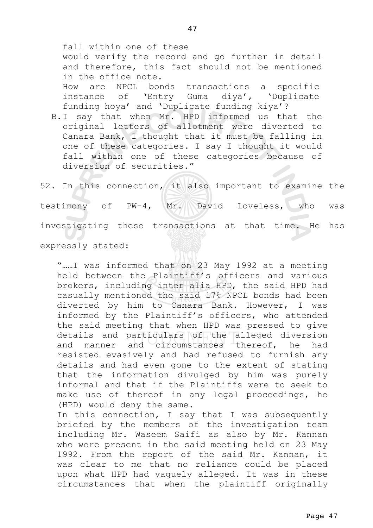fall within one of these would verify the record and go further in detail and therefore, this fact should not be mentioned in the office note. How are NPCL bonds transactions a specific instance of 'Entry Guma diya', 'Duplicate funding hoya' and 'Duplicate funding kiya'?

B.I say that when Mr. HPD informed us that the original letters of allotment were diverted to Canara Bank, I thought that it must be falling in one of these categories. I say I thought it would fall within one of these categories because of diversion of securities."

52. In this connection, it also important to examine the testimony of PW-4, Mr. David Loveless, who was investigating these transactions at that time. He has

expressly stated:

"……I was informed that on 23 May 1992 at a meeting held between the Plaintiff's officers and various brokers, including inter alia HPD, the said HPD had casually mentioned the said 17% NPCL bonds had been diverted by him to Canara Bank. However, I was informed by the Plaintiff's officers, who attended the said meeting that when HPD was pressed to give details and particulars of the alleged diversion and manner and circumstances thereof, he had resisted evasively and had refused to furnish any details and had even gone to the extent of stating that the information divulged by him was purely informal and that if the Plaintiffs were to seek to make use of thereof in any legal proceedings, he (HPD) would deny the same.

In this connection, I say that I was subsequently briefed by the members of the investigation team including Mr. Waseem Saifi as also by Mr. Kannan who were present in the said meeting held on 23 May 1992. From the report of the said Mr. Kannan, it was clear to me that no reliance could be placed upon what HPD had vaguely alleged. It was in these circumstances that when the plaintiff originally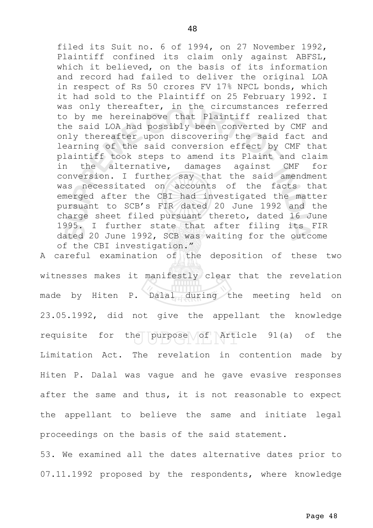filed its Suit no. 6 of 1994, on 27 November 1992, Plaintiff confined its claim only against ABFSL, which it believed, on the basis of its information and record had failed to deliver the original LOA in respect of Rs 50 crores FV 17% NPCL bonds, which it had sold to the Plaintiff on 25 February 1992. I was only thereafter, in the circumstances referred to by me hereinabove that Plaintiff realized that the said LOA had possibly been converted by CMF and only thereafter upon discovering the said fact and learning of the said conversion effect by CMF that plaintiff took steps to amend its Plaint and claim in the alternative, damages against CMF for conversion. I further say that the said amendment was necessitated on accounts of the facts that emerged after the CBI had investigated the matter pursuant to SCB's FIR dated 20 June 1992 and the charge sheet filed pursuant thereto, dated 16 June 1995. I further state that after filing its FIR dated 20 June 1992, SCB was waiting for the outcome of the CBI investigation."

A careful examination of the deposition of these two witnesses makes it manifestly clear that the revelation made by Hiten P. Dalal during the meeting held on 23.05.1992, did not give the appellant the knowledge requisite for the purpose  $\sqrt{of}$  Article 91(a) of the Limitation Act. The revelation in contention made by Hiten P. Dalal was vague and he gave evasive responses after the same and thus, it is not reasonable to expect the appellant to believe the same and initiate legal proceedings on the basis of the said statement.

53. We examined all the dates alternative dates prior to 07.11.1992 proposed by the respondents, where knowledge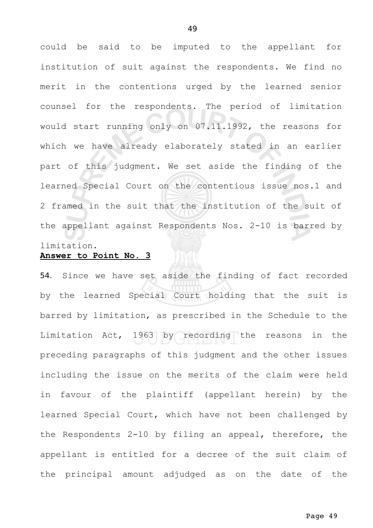could be said to be imputed to the appellant for institution of suit against the respondents. We find no merit in the contentions urged by the learned senior counsel for the respondents. The period of limitation would start running only on 07.11.1992, the reasons for which we have already elaborately stated in an earlier part of this judgment. We set aside the finding of the learned Special Court on the contentious issue nos.1 and 2 framed in the suit that the institution of the suit of the appellant against Respondents Nos. 2-10 is barred by limitation.

# **Answer to Point No. 3**

54. Since we have set aside the finding of fact recorded by the learned Special Court holding that the suit is barred by limitation, as prescribed in the Schedule to the Limitation Act, 1963 by recording the reasons in the preceding paragraphs of this judgment and the other issues including the issue on the merits of the claim were held in favour of the plaintiff (appellant herein) by the learned Special Court, which have not been challenged by the Respondents 2-10 by filing an appeal, therefore, the appellant is entitled for a decree of the suit claim of the principal amount adjudged as on the date of the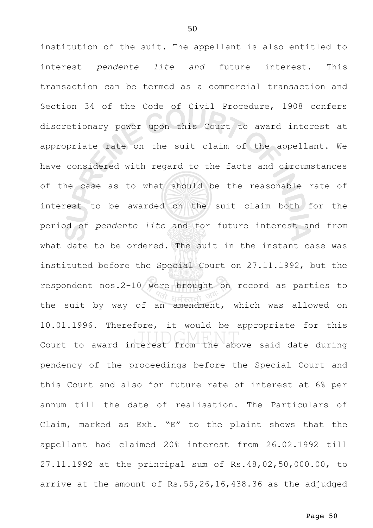institution of the suit. The appellant is also entitled to interest *pendente lite and* future interest. This transaction can be termed as a commercial transaction and Section 34 of the Code of Civil Procedure, 1908 confers discretionary power upon this Court to award interest at appropriate rate on the suit claim of the appellant. We have considered with regard to the facts and circumstances of the case as to what should be the reasonable rate of interest to be awarded on the suit claim both for the period of *pendente lite* and for future interest and from what date to be ordered. The suit in the instant case was instituted before the Special Court on 27.11.1992, but the respondent nos.2-10 were brought on record as parties to the suit by way of an amendment, which was allowed on 10.01.1996. Therefore, it would be appropriate for this Court to award interest from the above said date during pendency of the proceedings before the Special Court and this Court and also for future rate of interest at 6% per annum till the date of realisation. The Particulars of Claim, marked as Exh. "E" to the plaint shows that the appellant had claimed 20% interest from 26.02.1992 till 27.11.1992 at the principal sum of Rs.48,02,50,000.00, to arrive at the amount of Rs.55,26,16,438.36 as the adjudged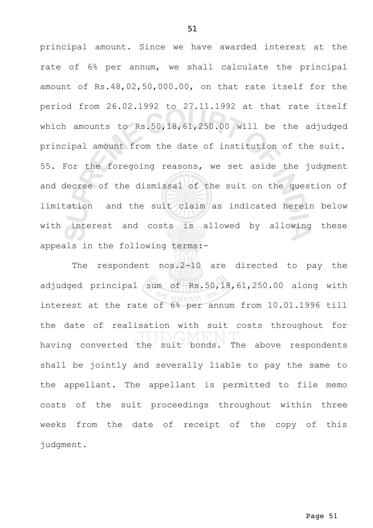principal amount. Since we have awarded interest at the rate of 6% per annum, we shall calculate the principal amount of Rs.48,02,50,000.00, on that rate itself for the period from 26.02.1992 to 27.11.1992 at that rate itself which amounts to Rs.50,18,61,250.00 will be the adjudged principal amount from the date of institution of the suit. 55. For the foregoing reasons, we set aside the judgment and decree of the dismissal of the suit on the question of limitation and the suit claim as indicated herein below with interest and costs is allowed by allowing these appeals in the following terms:-

The respondent nos.2-10 are directed to pay the adjudged principal sum of Rs.50,18,61,250.00 along with interest at the rate of 6% per annum from 10.01.1996 till the date of realisation with suit costs throughout for having converted the suit bonds. The above respondents shall be jointly and severally liable to pay the same to the appellant. The appellant is permitted to file memo costs of the suit proceedings throughout within three weeks from the date of receipt of the copy of this judgment.